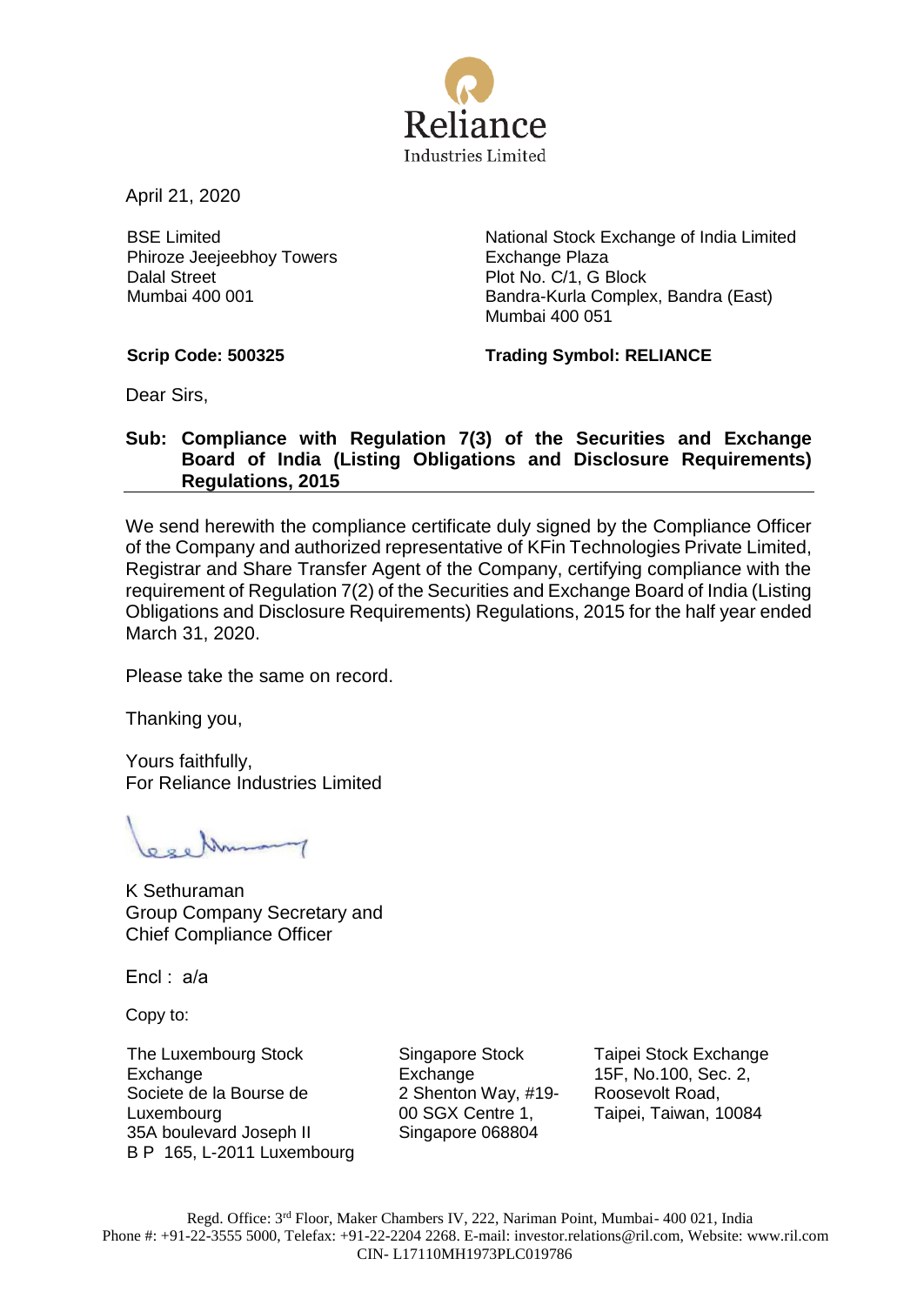

April 21, 2020

BSE Limited Phiroze Jeejeebhoy Towers Dalal Street Mumbai 400 001

National Stock Exchange of India Limited Exchange Plaza Plot No. C/1, G Block Bandra-Kurla Complex, Bandra (East) Mumbai 400 051

**Scrip Code: 500325 Trading Symbol: RELIANCE**

Dear Sirs,

## **Sub: Compliance with Regulation 7(3) of the Securities and Exchange Board of India (Listing Obligations and Disclosure Requirements) Regulations, 2015**

We send herewith the compliance certificate duly signed by the Compliance Officer of the Company and authorized representative of KFin Technologies Private Limited, Registrar and Share Transfer Agent of the Company, certifying compliance with the requirement of Regulation 7(2) of the Securities and Exchange Board of India (Listing Obligations and Disclosure Requirements) Regulations, 2015 for the half year ended March 31, 2020.

Please take the same on record.

Thanking you,

Yours faithfully, For Reliance Industries Limited

00 Musamy

K Sethuraman Group Company Secretary and Chief Compliance Officer

Encl : a/a

Copy to:

The Luxembourg Stock Exchange Societe de la Bourse de Luxembourg 35A boulevard Joseph II B P 165, L-2011 Luxembourg Singapore Stock **Exchange** 2 Shenton Way, #19- 00 SGX Centre 1, Singapore 068804

Taipei Stock Exchange 15F, No.100, Sec. 2, Roosevolt Road, Taipei, Taiwan, 10084